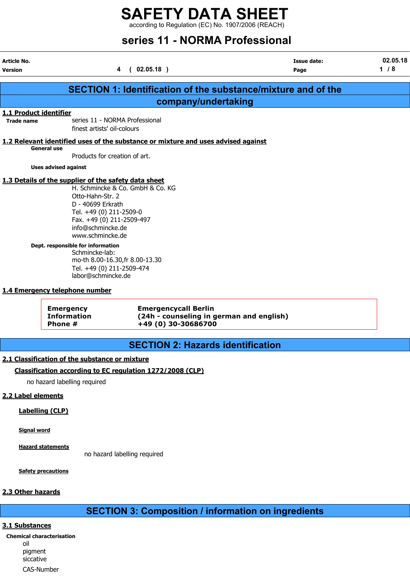according to Regulation (EC) No. 1907/2006 (REACH)

# series 11 - NORMA Professional

| Article No.<br><b>Version</b>                                                                                                                                                                                                                                                                                                                                                   | $\overline{\mathbf{4}}$                                                           | (02.05.18)                                                                                     | <b>Issue date:</b><br>Page                                           | 02.05.18<br>$1/8$ |  |  |
|---------------------------------------------------------------------------------------------------------------------------------------------------------------------------------------------------------------------------------------------------------------------------------------------------------------------------------------------------------------------------------|-----------------------------------------------------------------------------------|------------------------------------------------------------------------------------------------|----------------------------------------------------------------------|-------------------|--|--|
|                                                                                                                                                                                                                                                                                                                                                                                 |                                                                                   |                                                                                                | <b>SECTION 1: Identification of the substance/mixture and of the</b> |                   |  |  |
|                                                                                                                                                                                                                                                                                                                                                                                 |                                                                                   | company/undertaking                                                                            |                                                                      |                   |  |  |
| 1.1 Product identifier<br><b>Trade name</b>                                                                                                                                                                                                                                                                                                                                     | series 11 - NORMA Professional<br>finest artists' oil-colours                     |                                                                                                |                                                                      |                   |  |  |
|                                                                                                                                                                                                                                                                                                                                                                                 | 1.2 Relevant identified uses of the substance or mixture and uses advised against |                                                                                                |                                                                      |                   |  |  |
|                                                                                                                                                                                                                                                                                                                                                                                 | <b>General use</b><br>Products for creation of art.                               |                                                                                                |                                                                      |                   |  |  |
|                                                                                                                                                                                                                                                                                                                                                                                 | <b>Uses advised against</b>                                                       |                                                                                                |                                                                      |                   |  |  |
| 1.3 Details of the supplier of the safety data sheet<br>H. Schmincke & Co. GmbH & Co. KG<br>Otto-Hahn-Str. 2<br>D - 40699 Erkrath<br>Tel. +49 (0) 211-2509-0<br>Fax. +49 (0) 211-2509-497<br>info@schmincke.de<br>www.schmincke.de<br>Dept. responsible for information<br>Schmincke-lab:<br>mo-th 8.00-16.30, fr 8.00-13.30<br>Tel. +49 (0) 211-2509-474<br>labor@schmincke.de |                                                                                   |                                                                                                |                                                                      |                   |  |  |
|                                                                                                                                                                                                                                                                                                                                                                                 | 1.4 Emergency telephone number                                                    |                                                                                                |                                                                      |                   |  |  |
|                                                                                                                                                                                                                                                                                                                                                                                 | <b>Emergency</b><br><b>Information</b><br>Phone #                                 | <b>Emergencycall Berlin</b><br>(24h - counseling in german and english)<br>+49 (0) 30-30686700 |                                                                      |                   |  |  |

# SECTION 2: Hazards identification

# 2.1 Classification of the substance or mixture

### Classification according to EC regulation 1272/2008 (CLP)

no hazard labelling required

# 2.2 Label elements

### Labelling (CLP)

Signal word

Hazard statements

no hazard labelling required

**Safety precautions** 

### 2.3 Other hazards

# SECTION 3: Composition / information on ingredients

## 3.1 Substances

Chemical characterisation oil pigment siccative CAS-Number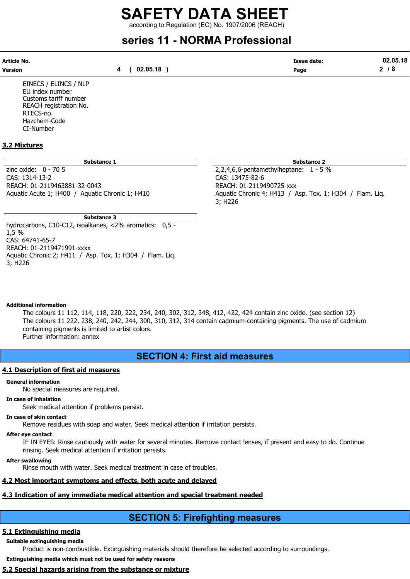according to Regulation (EC) No. 1907/2006 (REACH)

# series 11 - NORMA Professional

| Article No. |          | <b>Issue date:</b> | 02.05.18 |
|-------------|----------|--------------------|----------|
| Version     | 02.05.18 | Page               | o        |

EINECS / ELINCS / NLP EU index number Customs tariff number REACH registration No. RTECS-no. Hazchem-Code CI-Number

# 3.2 Mixtures

zinc oxide:  $0 - 705$ CAS: 1314-13-2 CAS: 13475-82-6 REACH: 01-2119463881-32-0043 REACH: 01-2119490725-xxx

Substance 3 hydrocarbons, C10-C12, isoalkanes, <2% aromatics: 0,5 - 1,5 % CAS: 64741-65-7 REACH: 01-2119471991-xxxx Aquatic Chronic 2; H411 / Asp. Tox. 1; H304 / Flam. Liq. 3; H226

Substance 1 and 2 Substance 2 and 3 Substance 2 and 3 Substance 2 and 3 Substance 2 and 3 Substance 2

Aquatic Acute 1; H400 / Aquatic Chronic 1; H410 Aquatic Chronic 4; H413 / Asp. Tox. 1; H304 / Flam. Liq. 3; H226

### Additional information

The colours 11 112, 114, 118, 220, 222, 234, 240, 302, 312, 348, 412, 422, 424 contain zinc oxide. (see section 12) The colours 11 222, 238, 240, 242, 244, 300, 310, 312, 314 contain cadmium-containing pigments. The use of cadmium containing pigments is limited to artist colors. Further information: annex

# SECTION 4: First aid measures

### 4.1 Description of first aid measures

#### General information

No special measures are required.

### In case of inhalation

Seek medical attention if problems persist.

#### In case of skin contact

Remove residues with soap and water. Seek medical attention if irritation persists.

#### After eye contact

IF IN EYES: Rinse cautiously with water for several minutes. Remove contact lenses, if present and easy to do. Continue rinsing. Seek medical attention if irritation persists.

#### After swallowing

Rinse mouth with water. Seek medical treatment in case of troubles.

# 4.2 Most important symptoms and effects, both acute and delayed

# 4.3 Indication of any immediate medical attention and special treatment needed

# SECTION 5: Firefighting measures

# 5.1 Extinguishing media

Suitable extinguishing media

Product is non-combustible. Extinguishing materials should therefore be selected according to surroundings.

Extinguishing media which must not be used for safety reasons

# 5.2 Special hazards arising from the substance or mixture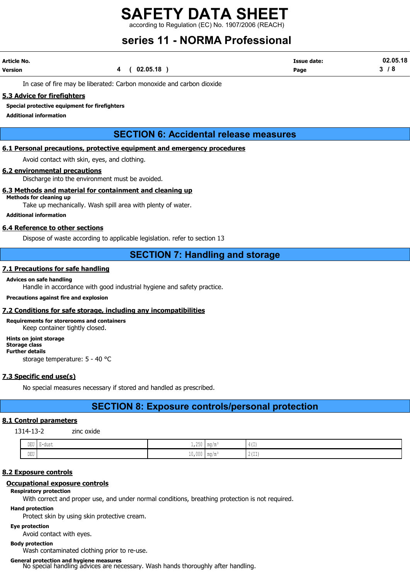according to Regulation (EC) No. 1907/2006 (REACH)

# series 11 - NORMA Professional

| Article No.    |            | <b>Issue date:</b> | 02.05.18  |
|----------------|------------|--------------------|-----------|
| <b>Version</b> | (02.05.18) | Page               | <b>78</b> |

In case of fire may be liberated: Carbon monoxide and carbon dioxide

### 5.3 Advice for firefighters

#### Special protective equipment for firefighters

Additional information

# SECTION 6: Accidental release measures

## 6.1 Personal precautions, protective equipment and emergency procedures

Avoid contact with skin, eyes, and clothing.

# 6.2 environmental precautions

Discharge into the environment must be avoided.

### 6.3 Methods and material for containment and cleaning up

# Methods for cleaning up

Take up mechanically. Wash spill area with plenty of water.

Additional information

### 6.4 Reference to other sections

Dispose of waste according to applicable legislation. refer to section 13

# SECTION 7: Handling and storage

# 7.1 Precautions for safe handling

#### Advices on safe handling

Handle in accordance with good industrial hygiene and safety practice.

### Precautions against fire and explosion

#### 7.2 Conditions for safe storage, including any incompatibilities

#### Requirements for storerooms and containers Keep container tightly closed.

Hints on joint storage Storage class Further details storage temperature: 5 - 40 °C

# 7.3 Specific end use(s)

No special measures necessary if stored and handled as prescribed.

# SECTION 8: Exposure controls/personal protection

# 8.1 Control parameters

1314-13-2 zinc oxide

| $- - - -$<br>ັ້ນມ⊽<br>$\sim$ | E-dust<br>. .<br>. | $\sim$ $-$<br>$1,250$   mg/m<br>$\sim$   | $A + T$<br>1 T L L J    |
|------------------------------|--------------------|------------------------------------------|-------------------------|
| nmrt.<br>∪ ש                 |                    | $\sim$<br>. .<br>$10,000$   mg/m $\cdot$ | $\sim$ $-$<br>I 4 1 4 4 |

# 8.2 Exposure controls

# Occupational exposure controls

# Respiratory protection

With correct and proper use, and under normal conditions, breathing protection is not required.

# Hand protection

Protect skin by using skin protective cream.

Eye protection

Avoid contact with eyes.

# Body protection

Wash contaminated clothing prior to re-use.

# General protection and hygiene measures

No special handling advices are necessary. Wash hands thoroughly after handling.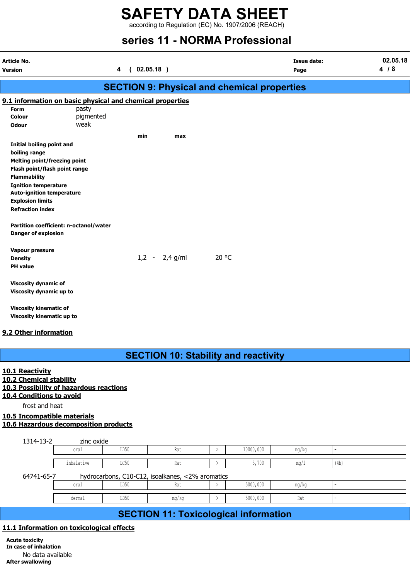according to Regulation (EC) No. 1907/2006 (REACH)

# series 11 - NORMA Professional

| Article No.<br>Version              |                                                           | 4 | (02.05.18) |                  |                                                    | <b>Issue date:</b><br>Page | 02.05.18<br>4/8 |
|-------------------------------------|-----------------------------------------------------------|---|------------|------------------|----------------------------------------------------|----------------------------|-----------------|
|                                     |                                                           |   |            |                  | <b>SECTION 9: Physical and chemical properties</b> |                            |                 |
|                                     | 9.1 information on basic physical and chemical properties |   |            |                  |                                                    |                            |                 |
| Form                                | pasty                                                     |   |            |                  |                                                    |                            |                 |
| Colour                              | pigmented                                                 |   |            |                  |                                                    |                            |                 |
| <b>Odour</b>                        | weak                                                      |   |            |                  |                                                    |                            |                 |
|                                     |                                                           |   | min        | max              |                                                    |                            |                 |
| Initial boiling point and           |                                                           |   |            |                  |                                                    |                            |                 |
| boiling range                       |                                                           |   |            |                  |                                                    |                            |                 |
| <b>Melting point/freezing point</b> |                                                           |   |            |                  |                                                    |                            |                 |
| Flash point/flash point range       |                                                           |   |            |                  |                                                    |                            |                 |
| <b>Flammability</b>                 |                                                           |   |            |                  |                                                    |                            |                 |
| <b>Ignition temperature</b>         |                                                           |   |            |                  |                                                    |                            |                 |
| <b>Auto-ignition temperature</b>    |                                                           |   |            |                  |                                                    |                            |                 |
| <b>Explosion limits</b>             |                                                           |   |            |                  |                                                    |                            |                 |
| <b>Refraction index</b>             |                                                           |   |            |                  |                                                    |                            |                 |
| <b>Danger of explosion</b>          | Partition coefficient: n-octanol/water                    |   |            |                  |                                                    |                            |                 |
| Vapour pressure                     |                                                           |   |            |                  |                                                    |                            |                 |
| <b>Density</b>                      |                                                           |   |            | $1,2 - 2,4$ g/ml | 20 °C                                              |                            |                 |
| <b>PH</b> value                     |                                                           |   |            |                  |                                                    |                            |                 |
| <b>Viscosity dynamic of</b>         |                                                           |   |            |                  |                                                    |                            |                 |
| Viscosity dynamic up to             |                                                           |   |            |                  |                                                    |                            |                 |
| <b>Viscosity kinematic of</b>       |                                                           |   |            |                  |                                                    |                            |                 |
| Viscosity kinematic up to           |                                                           |   |            |                  |                                                    |                            |                 |
| 9.2 Other information               |                                                           |   |            |                  |                                                    |                            |                 |

# SECTION 10: Stability and reactivity

## 10.1 Reactivity

- 10.2 Chemical stability
- 10.3 Possibility of hazardous reactions
- 10.4 Conditions to avoid

frost and heat

# 10.5 Incompatible materials

|  | 10.6 Hazardous decomposition products |  |
|--|---------------------------------------|--|
|  |                                       |  |

| 1314-13-2                                                      | zinc oxide |      |       |  |           |       |      |
|----------------------------------------------------------------|------------|------|-------|--|-----------|-------|------|
|                                                                | oral       | LD50 | Rat   |  | 10000,000 | mg/kg |      |
|                                                                | inhalative | LC50 | Rat   |  | 5,700     | mq/1  | (4h) |
| hydrocarbons, C10-C12, isoalkanes, <2% aromatics<br>64741-65-7 |            |      |       |  |           |       |      |
|                                                                | oral       | LD50 | Rat   |  | 5000,000  | mg/kg |      |
|                                                                | dermal     | LD50 | mg/kg |  | 5000,000  | Rat   |      |
|                                                                |            |      |       |  |           |       |      |

# SECTION 11: Toxicological information

# 11.1 Information on toxicological effects

Acute toxicity In case of inhalation No data available After swallowing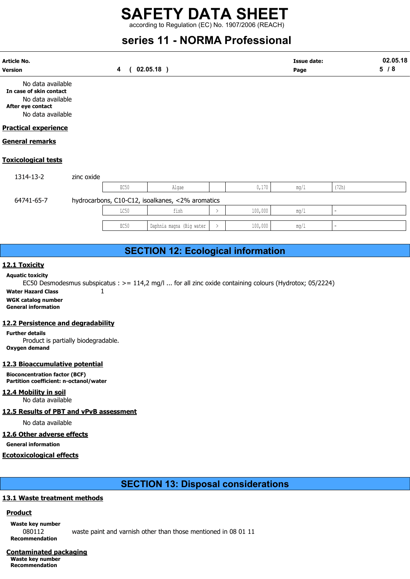according to Regulation (EC) No. 1907/2006 (REACH)

# series 11 - NORMA Professional

| <b>Article No.</b><br><b>Version</b>                                                   |            | 4                | $02.05.18$ ) |                                                  |               |         | <b>Issue date:</b><br>Page |                          | 02.05.18<br>5/8 |
|----------------------------------------------------------------------------------------|------------|------------------|--------------|--------------------------------------------------|---------------|---------|----------------------------|--------------------------|-----------------|
| No data available<br>In case of skin contact<br>No data available<br>After eye contact |            |                  |              |                                                  |               |         |                            |                          |                 |
| No data available<br><b>Practical experience</b>                                       |            |                  |              |                                                  |               |         |                            |                          |                 |
| <b>General remarks</b>                                                                 |            |                  |              |                                                  |               |         |                            |                          |                 |
| <b>Toxicological tests</b>                                                             |            |                  |              |                                                  |               |         |                            |                          |                 |
| 1314-13-2                                                                              | zinc oxide |                  |              |                                                  |               |         |                            |                          |                 |
|                                                                                        |            | EC <sub>50</sub> |              | Algae                                            |               | 0,170   | mq/1                       | (72h)                    |                 |
| 64741-65-7                                                                             |            |                  |              | hydrocarbons, C10-C12, isoalkanes, <2% aromatics |               |         |                            |                          |                 |
|                                                                                        |            | LC50             |              | fish                                             | $\rightarrow$ | 100,000 | mg/1                       | $\overline{\phantom{a}}$ |                 |

# SECTION 12: Ecological information

EC50 | Daphnia magna (Big water  $| > |$  100,000 |  $mq/1$ 

## 12.1 Toxicity

Aquatic toxicity EC50 Desmodesmus subspicatus : >= 114,2 mg/l ... for all zinc oxide containing colours (Hydrotox; 05/2224)

Water Hazard Class 1 WGK catalog number

General information

### 12.2 Persistence and degradability

Further details Product is partially biodegradable. Oxygen demand

### 12.3 Bioaccumulative potential

Bioconcentration factor (BCF) Partition coefficient: n-octanol/water

# 12.4 Mobility in soil

No data available

12.5 Results of PBT and vPvB assessment

No data available

# 12.6 Other adverse effects

General information

# Ecotoxicological effects

SECTION 13: Disposal considerations

# 13.1 Waste treatment methods

# **Product**

Waste key number 080112 waste paint and varnish other than those mentioned in 08 01 11 Recommendation

Contaminated packaging Waste key number Recommendation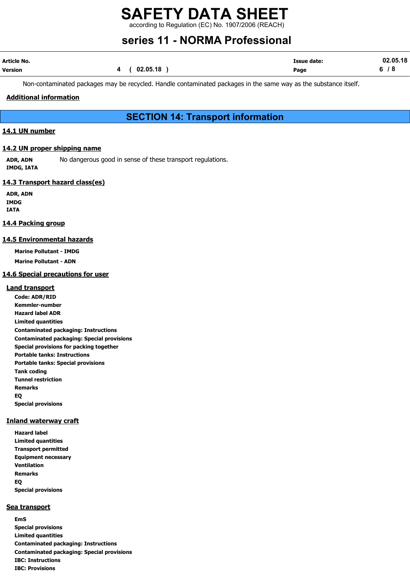according to Regulation (EC) No. 1907/2006 (REACH)

# series 11 - NORMA Professional

| Article No. |              | <b>Issue date:</b> | 02.05.18 |
|-------------|--------------|--------------------|----------|
| Version     | 4 ( 02.05.18 | Page               | 6/8      |

Non-contaminated packages may be recycled. Handle contaminated packages in the same way as the substance itself.

# Additional information

# SECTION 14: Transport information

# 14.1 UN number

### 14.2 UN proper shipping name

ADR, ADN No dangerous good in sense of these transport regulations. IMDG, IATA

# 14.3 Transport hazard class(es)

ADR, ADN IMDG IATA

### 14.4 Packing group

### 14.5 Environmental hazards

Marine Pollutant - IMDG

Marine Pollutant - ADN

# 14.6 Special precautions for user

### Land transport

Code: ADR/RID Kemmler-number Hazard label ADR Limited quantities Contaminated packaging: Instructions Contaminated packaging: Special provisions Special provisions for packing together Portable tanks: Instructions Portable tanks: Special provisions Tank coding Tunnel restriction Remarks EQ Special provisions

### Inland waterway craft

Hazard label Limited quantities Transport permitted Equipment necessary Ventilation Remarks EQ Special provisions

### Sea transport

EmS Special provisions Limited quantities Contaminated packaging: Instructions Contaminated packaging: Special provisions IBC: Instructions IBC: Provisions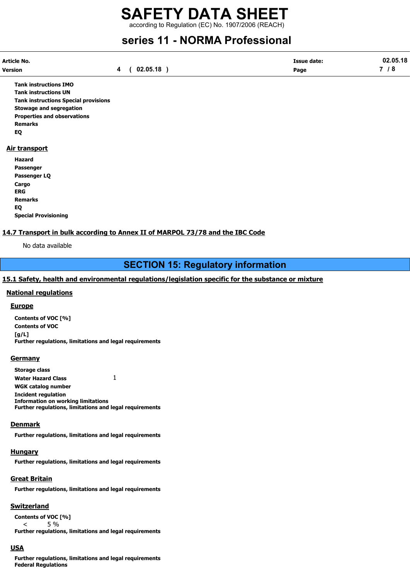according to Regulation (EC) No. 1907/2006 (REACH)

# series 11 - NORMA Professional

| Article No. |          | <b>Issue date:</b> | 02.05.18 |
|-------------|----------|--------------------|----------|
| Version     | 02.05.18 | Page               | - 0      |

Tank instructions IMO Tank instructions UN Tank instructions Special provisions Stowage and segregation Properties and observations Remarks EQ

### Air transport

Hazard Passenger Passenger LQ **Cargo** ERG Remarks EQ Special Provisioning

# 14.7 Transport in bulk according to Annex II of MARPOL 73/78 and the IBC Code

No data available

# SECTION 15: Regulatory information

# 15.1 Safety, health and environmental regulations/legislation specific for the substance or mixture

## National regulations

### **Europe**

Contents of VOC [%] Contents of VOC  $[a/L]$ Further regulations, limitations and legal requirements

### **Germany**

Storage class Water Hazard Class  $1$ WGK catalog number Incident regulation Information on working limitations Further regulations, limitations and legal requirements

### Denmark

Further regulations, limitations and legal requirements

### **Hungary**

Further regulations, limitations and legal requirements

# Great Britain

Further regulations, limitations and legal requirements

# **Switzerland**

Contents of VOC [%] < 5 %

Further regulations, limitations and legal requirements

# USA

Further regulations, limitations and legal requirements Federal Regulations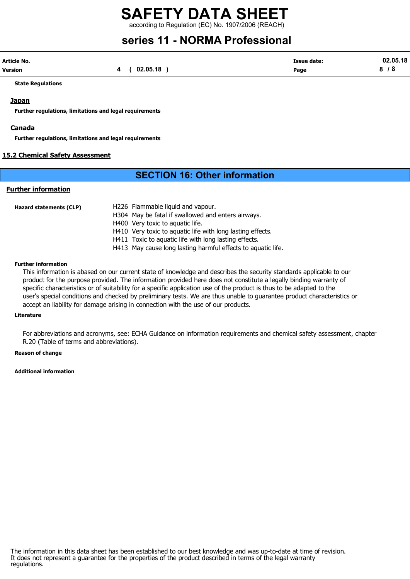# SAFETY DATA SHEET according to Regulation (EC) No. 1907/2006 (REACH)

# series 11 - NORMA Professional

| Article No. |          | <b>Issue date:</b> | 02.05.18 |
|-------------|----------|--------------------|----------|
| Version     | 02.05.18 | Page               |          |

State Regulations

## **Japan**

Further regulations, limitations and legal requirements

### **Canada**

Further regulations, limitations and legal requirements

# 15.2 Chemical Safety Assessment

# SECTION 16: Other information

# Further information

| Hazard statements (CLP) | H226 Flammable liquid and vapour.                            |
|-------------------------|--------------------------------------------------------------|
|                         | H304 May be fatal if swallowed and enters airways.           |
|                         | H400 Very toxic to aquatic life.                             |
|                         | H410 Very toxic to aquatic life with long lasting effects.   |
|                         | H411 Toxic to aguatic life with long lasting effects.        |
|                         | H413 May cause long lasting harmful effects to aquatic life. |

#### Further information

This information is abased on our current state of knowledge and describes the security standards applicable to our product for the purpose provided. The information provided here does not constitute a legally binding warranty of specific characteristics or of suitability for a specific application use of the product is thus to be adapted to the user's special conditions and checked by preliminary tests. We are thus unable to guarantee product characteristics or accept an liability for damage arising in connection with the use of our products.

#### Literature

For abbreviations and acronyms, see: ECHA Guidance on information requirements and chemical safety assessment, chapter R.20 (Table of terms and abbreviations).

#### Reason of change

#### Additional information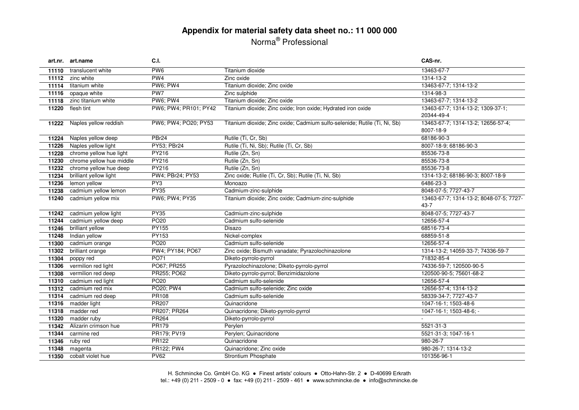# **Appendix for material safety data sheet no.: 11 000 000** Norma® Professional

|       | art.nr. art.name         | C.I.                  |                                                                           | CAS-nr.                                 |
|-------|--------------------------|-----------------------|---------------------------------------------------------------------------|-----------------------------------------|
| 11110 | translucent white        | PW <sub>6</sub>       | Titanium dioxide                                                          | 13463-67-7                              |
| 11112 | zinc white               | PW <sub>4</sub>       | Zinc oxide                                                                | 1314-13-2                               |
| 11114 | titanium white           | <b>PW6: PW4</b>       | Titanium dioxide; Zinc oxide                                              | 13463-67-7; 1314-13-2                   |
| 11116 | opaque white             | PW7                   | Zinc sulphide                                                             | 1314-98-3                               |
| 11118 | zinc titanium white      | PW6; PW4              | Titanium dioxide; Zinc oxide                                              | 13463-67-7; 1314-13-2                   |
| 11220 | flesh tint               | PW6: PW4: PR101: PY42 | Titanium dioxide; Zinc oxide; Iron oxide; Hydrated iron oxide             | 13463-67-7; 1314-13-2; 1309-37-1;       |
|       |                          |                       |                                                                           | 20344-49-4                              |
| 11222 | Naples yellow reddish    | PW6; PW4; PO20; PY53  | Titanium dioxide; Zinc oxide; Cadmium sulfo-selenide; Rutile (Ti, Ni, Sb) | 13463-67-7; 1314-13-2; 12656-57-4;      |
|       |                          |                       |                                                                           | 8007-18-9                               |
| 11224 | Naples yellow deep       | PBr <sub>24</sub>     | Rutile (Ti, Cr, Sb)                                                       | 68186-90-3                              |
| 11226 | Naples yellow light      | PY53; PBr24           | Rutile (Ti, Ni, Sb); Rutile (Ti, Cr, Sb)                                  | 8007-18-9; 68186-90-3                   |
| 11228 | chrome yellow hue light  | <b>PY216</b>          | Rutile (Zn, Sn)                                                           | 85536-73-8                              |
| 11230 | chrome yellow hue middle | PY216                 | Rutile (Zn, Sn)                                                           | 85536-73-8                              |
| 11232 | chrome yellow hue deep   | PY216                 | Rutile (Zn, Sn)                                                           | 85536-73-8                              |
| 11234 | brilliant yellow light   | PW4; PBr24; PY53      | Zinc oxide; Rutile (Ti, Cr, Sb); Rutile (Ti, Ni, Sb)                      | 1314-13-2; 68186-90-3; 8007-18-9        |
| 11236 | lemon yellow             | PY <sub>3</sub>       | Monoazo                                                                   | 6486-23-3                               |
| 11238 | cadmium yellow lemon     | <b>PY35</b>           | Cadmium-zinc-sulphide                                                     | 8048-07-5; 7727-43-7                    |
| 11240 | cadmium yellow mix       | <b>PW6; PW4; PY35</b> | Titanium dioxide; Zinc oxide; Cadmium-zinc-sulphide                       | 13463-67-7; 1314-13-2; 8048-07-5; 7727- |
|       |                          |                       |                                                                           | $43 - 7$                                |
| 11242 | cadmium yellow light     | PY35                  | Cadmium-zinc-sulphide                                                     | 8048-07-5; 7727-43-7                    |
| 11244 | cadmium yellow deep      | PO <sub>20</sub>      | Cadmium sulfo-selenide                                                    | 12656-57-4                              |
| 11246 | brilliant yellow         | <b>PY155</b>          | Disazo                                                                    | 68516-73-4                              |
| 11248 | Indian yellow            | PY153                 | Nickel-complex                                                            | 68859-51-8                              |
| 11300 | cadmium orange           | PO <sub>20</sub>      | Cadmium sulfo-selenide                                                    | 12656-57-4                              |
| 11302 | brilliant orange         | PW4; PY184; PO67      | Zinc oxide; Bismuth vanadate; Pyrazolochinazolone                         | 1314-13-2; 14059-33-7; 74336-59-7       |
| 11304 | poppy red                | PO71                  | Diketo-pyrrolo-pyrrol                                                     | 71832-85-4                              |
| 11306 | vermilion red light      | PO67; PR255           | Pyrazolochinazolone; Diketo-pyrrolo-pyrrol                                | 74336-59-7; 120500-90-5                 |
| 11308 | vermilion red deep       | PR255; PO62           | Diketo-pyrrolo-pyrrol; Benzimidazolone                                    | 120500-90-5; 75601-68-2                 |
| 11310 | cadmium red light        | PO <sub>20</sub>      | Cadmium sulfo-selenide                                                    | 12656-57-4                              |
| 11312 | cadmium red mix          | PO20; PW4             | Cadmium sulfo-selenide; Zinc oxide                                        | 12656-57-4; 1314-13-2                   |
| 11314 | cadmium red deep         | PR108                 | Cadmium sulfo-selenide                                                    | 58339-34-7; 7727-43-7                   |
| 11316 | madder light             | <b>PR207</b>          | Quinacridone                                                              | 1047-16-1; 1503-48-6                    |
| 11318 | madder red               | PR207; PR264          | Quinacridone; Diketo-pyrrolo-pyrrol                                       | 1047-16-1; 1503-48-6; -                 |
| 11320 | madder ruby              | PR264                 | Diketo-pyrrolo-pyrrol                                                     |                                         |
| 11342 | Alizarin crimson hue     | PR179                 | Perylen                                                                   | 5521-31-3                               |
| 11344 | carmine red              | PR179; PV19           | Perylen; Quinacridone                                                     | 5521-31-3; 1047-16-1                    |
| 11346 | ruby red                 | PR122                 | Quinacridone                                                              | 980-26-7                                |
| 11348 | magenta                  | PR122; PW4            | Quinacridone; Zinc oxide                                                  | 980-26-7; 1314-13-2                     |
| 11350 | cobalt violet hue        | <b>PV62</b>           | Strontium Phosphate                                                       | 101356-96-1                             |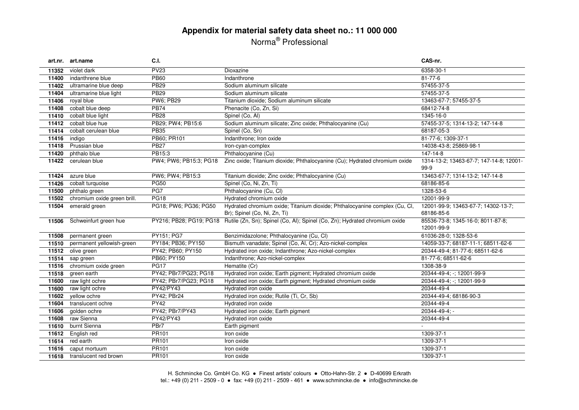# **Appendix for material safety data sheet no.: 11 000 000** Norma® Professional

|       | art.nr. art.name            | C.I.                   |                                                                                                    | CAS-nr.                                           |
|-------|-----------------------------|------------------------|----------------------------------------------------------------------------------------------------|---------------------------------------------------|
| 11352 | violet dark                 | <b>PV23</b>            | Dioxazine                                                                                          | 6358-30-1                                         |
| 11400 | indanthrene blue            | <b>PB60</b>            | Indanthrone                                                                                        | 81-77-6                                           |
| 11402 | ultramarine blue deep       | <b>PB29</b>            | Sodium aluminum silicate                                                                           | 57455-37-5                                        |
| 11404 | ultramarine blue light      | <b>PB29</b>            | Sodium aluminum silicate                                                                           | 57455-37-5                                        |
| 11406 | royal blue                  | <b>PW6; PB29</b>       | Titanium dioxide; Sodium aluminum silicate                                                         | 13463-67-7; 57455-37-5                            |
| 11408 | cobalt blue deep            | <b>PB74</b>            | Phenacite (Co, Zn, Si)                                                                             | 68412-74-8                                        |
| 11410 | cobalt blue light           | <b>PB28</b>            | Spinel (Co, Al)                                                                                    | 1345-16-0                                         |
| 11412 | cobalt blue hue             | PB29; PW4; PB15:6      | Sodium aluminum silicate; Zinc oxide; Phthalocyanine (Cu)                                          | 57455-37-5; 1314-13-2; 147-14-8                   |
| 11414 | cobalt cerulean blue        | <b>PB35</b>            | Spinel (Co, Sn)                                                                                    | 68187-05-3                                        |
| 11416 | indigo                      | PB60; PR101            | Indanthrone; Iron oxide                                                                            | 81-77-6; 1309-37-1                                |
| 11418 | Prussian blue               | <b>PB27</b>            | Iron-cyan-complex                                                                                  | 14038-43-8; 25869-98-1                            |
| 11420 | phthalo blue                | PB15:3                 | Phthalocyanine (Cu)                                                                                | 147-14-8                                          |
| 11422 | cerulean blue               | PW4; PW6; PB15:3; PG18 | Zinc oxide; Titanium dioxide; Phthalocyanine (Cu); Hydrated chromium oxide                         | 1314-13-2; 13463-67-7; 147-14-8; 12001-<br>$99-9$ |
| 11424 | azure blue                  | PW6; PW4; PB15:3       | Titanium dioxide; Zinc oxide; Phthalocyanine (Cu)                                                  | 13463-67-7; 1314-13-2; 147-14-8                   |
| 11426 | cobalt turquoise            | <b>PG50</b>            | Spinel (Co, Ni, Zn, Ti)                                                                            | 68186-85-6                                        |
| 11500 | phthalo green               | PG7                    | Phthalocyanine (Cu, Cl)                                                                            | 1328-53-6                                         |
| 11502 | chromium oxide green brill. | <b>PG18</b>            | Hydrated chromium oxide                                                                            | 12001-99-9                                        |
| 11504 | emerald green               | PG18; PW6; PG36; PG50  | Hydrated chromium oxide; Titanium dioxide; Phthalocyanine complex (Cu, Cl,                         | 12001-99-9; 13463-67-7; 14302-13-7;               |
|       |                             |                        | Br); Spinel (Co, Ni, Zn, Ti)                                                                       | 68186-85-6                                        |
| 11506 | Schweinfurt green hue       |                        | PY216; PB28; PG19; PG18 Rutile (Zn, Sn); Spinel (Co, Al); Spinel (Co, Zn); Hydrated chromium oxide | 85536-73-8; 1345-16-0; 8011-87-8;                 |
|       |                             |                        |                                                                                                    | 12001-99-9                                        |
| 11508 | permanent green             | PY151; PG7             | Benzimidazolone; Phthalocyanine (Cu, Cl)                                                           | 61036-28-0; 1328-53-6                             |
| 11510 | permanent yellowish-green   | PY184; PB36; PY150     | Bismuth vanadate; Spinel (Co, Al, Cr); Azo-nickel-complex                                          | 14059-33-7; 68187-11-1; 68511-62-6                |
| 11512 | olive green                 | PY42; PB60; PY150      | Hydrated iron oxide; Indanthrone; Azo-nickel-complex                                               | 20344-49-4; 81-77-6; 68511-62-6                   |
| 11514 | sap green                   | PB60; PY150            | Indanthrone; Azo-nickel-complex                                                                    | 81-77-6; 68511-62-6                               |
| 11516 | chromium oxide green        | <b>PG17</b>            | Hematite (Cr)                                                                                      | 1308-38-9                                         |
| 11518 | green earth                 | PY42; PBr7/PG23; PG18  | Hydrated iron oxide; Earth pigment; Hydrated chromium oxide                                        | 20344-49-4; -; 12001-99-9                         |
| 11600 | raw light ochre             | PY42; PBr7/PG23; PG18  | Hydrated iron oxide; Earth pigment; Hydrated chromium oxide                                        | 20344-49-4; -; 12001-99-9                         |
| 11600 | raw light ochre             | PY42/PY43              | Hydrated iron oxide                                                                                | 20344-49-4                                        |
| 11602 | yellow ochre                | PY42; PBr24            | Hydrated iron oxide; Rutile (Ti, Cr, Sb)                                                           | 20344-49-4; 68186-90-3                            |
| 11604 | translucent ochre           | <b>PY42</b>            | Hydrated iron oxide                                                                                | 20344-49-4                                        |
| 11606 | golden ochre                | PY42; PBr7/PY43        | Hydrated iron oxide; Earth pigment                                                                 | 20344-49-4; -                                     |
| 11608 | raw Sienna                  | PY42/PY43              | Hydrated iron oxide                                                                                | 20344-49-4                                        |
| 11610 | burnt Sienna                | PBr7                   | Earth pigment                                                                                      |                                                   |
| 11612 | English red                 | PR101                  | Iron oxide                                                                                         | 1309-37-1                                         |
| 11614 | red earth                   | PR101                  | Iron oxide                                                                                         | 1309-37-1                                         |
| 11616 | caput mortuum               | PR101                  | Iron oxide                                                                                         | 1309-37-1                                         |
| 11618 | translucent red brown       | PR101                  | Iron oxide                                                                                         | 1309-37-1                                         |